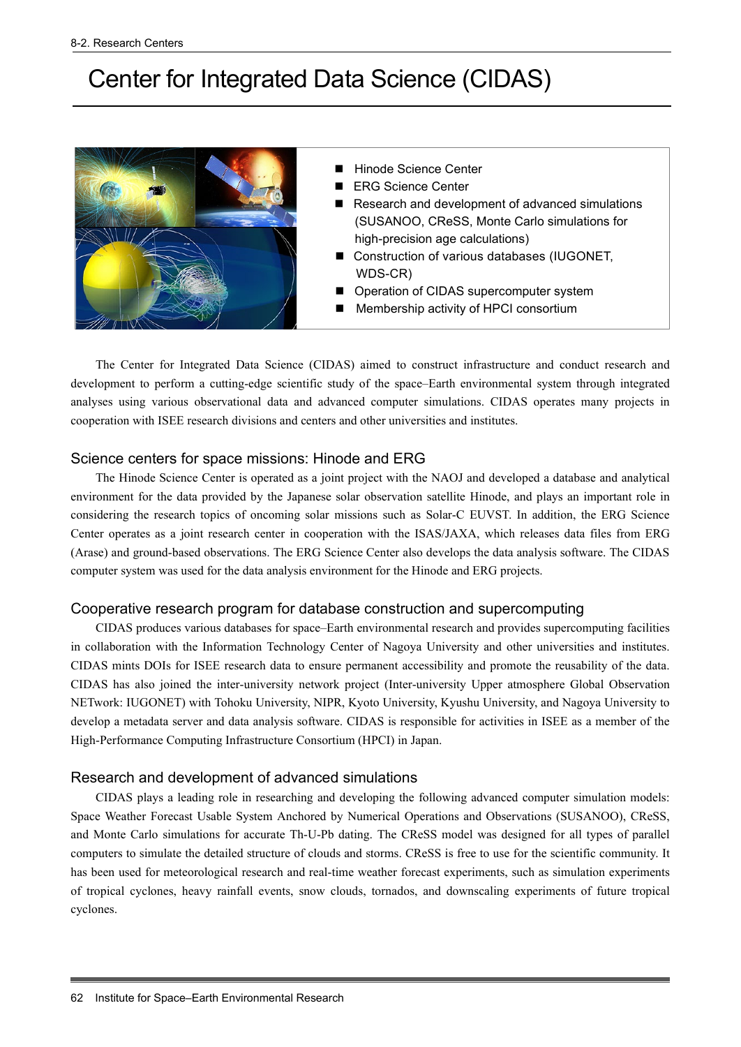# Center for Integrated Data Science (CIDAS)



- Hinode Science Center
- ERG Science Center
- Research and development of advanced simulations (SUSANOO, CReSS, Monte Carlo simulations for high-precision age calculations)
- Construction of various databases (IUGONET, WDS-CR)
- Operation of CIDAS supercomputer system
- **Membership activity of HPCI consortium**

The Center for Integrated Data Science (CIDAS) aimed to construct infrastructure and conduct research and development to perform a cutting-edge scientific study of the space–Earth environmental system through integrated analyses using various observational data and advanced computer simulations. CIDAS operates many projects in cooperation with ISEE research divisions and centers and other universities and institutes.

# Science centers for space missions: Hinode and ERG

The Hinode Science Center is operated as a joint project with the NAOJ and developed a database and analytical environment for the data provided by the Japanese solar observation satellite Hinode, and plays an important role in considering the research topics of oncoming solar missions such as Solar-C EUVST. In addition, the ERG Science Center operates as a joint research center in cooperation with the ISAS/JAXA, which releases data files from ERG (Arase) and ground-based observations. The ERG Science Center also develops the data analysis software. The CIDAS computer system was used for the data analysis environment for the Hinode and ERG projects.

## Cooperative research program for database construction and supercomputing

CIDAS produces various databases for space–Earth environmental research and provides supercomputing facilities in collaboration with the Information Technology Center of Nagoya University and other universities and institutes. CIDAS mints DOIs for ISEE research data to ensure permanent accessibility and promote the reusability of the data. CIDAS has also joined the inter-university network project (Inter-university Upper atmosphere Global Observation NETwork: IUGONET) with Tohoku University, NIPR, Kyoto University, Kyushu University, and Nagoya University to develop a metadata server and data analysis software. CIDAS is responsible for activities in ISEE as a member of the High-Performance Computing Infrastructure Consortium (HPCI) in Japan.

# Research and development of advanced simulations

CIDAS plays a leading role in researching and developing the following advanced computer simulation models: Space Weather Forecast Usable System Anchored by Numerical Operations and Observations (SUSANOO), CReSS, and Monte Carlo simulations for accurate Th-U-Pb dating. The CReSS model was designed for all types of parallel computers to simulate the detailed structure of clouds and storms. CReSS is free to use for the scientific community. It has been used for meteorological research and real-time weather forecast experiments, such as simulation experiments of tropical cyclones, heavy rainfall events, snow clouds, tornados, and downscaling experiments of future tropical cyclones.